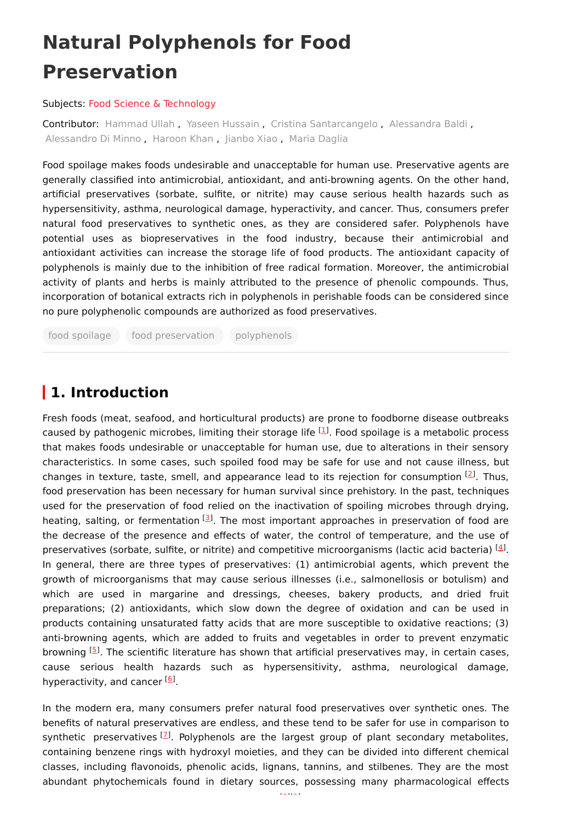# **Natural Polyphenols for Food Preservation**

#### Subjects: Food Science & [Technology](https://encyclopedia.pub/entry/subject/201)

Contributor: [Hammad](https://sciprofiles.com/profile/1113855) Ullah , Yaseen [Hussain](https://sciprofiles.com/profile/1249660) , Cristina [Santarcangelo](https://sciprofiles.com/profile/1195651) , [Alessandra](https://sciprofiles.com/profile/1453820) Baldi , [Alessandro](https://sciprofiles.com/profile/712897) Di Minno , [Haroon](https://sciprofiles.com/profile/1056383) Khan , [Jianbo](https://sciprofiles.com/profile/1335145) Xiao , Maria [Daglia](https://sciprofiles.com/profile/111049)

Food spoilage makes foods undesirable and unacceptable for human use. Preservative agents are generally classified into antimicrobial, antioxidant, and anti-browning agents. On the other hand, artificial preservatives (sorbate, sulfite, or nitrite) may cause serious health hazards such as hypersensitivity, asthma, neurological damage, hyperactivity, and cancer. Thus, consumers prefer natural food preservatives to synthetic ones, as they are considered safer. Polyphenols have potential uses as biopreservatives in the food industry, because their antimicrobial and antioxidant activities can increase the storage life of food products. The antioxidant capacity of polyphenols is mainly due to the inhibition of free radical formation. Moreover, the antimicrobial activity of plants and herbs is mainly attributed to the presence of phenolic compounds. Thus, incorporation of botanical extracts rich in polyphenols in perishable foods can be considered since no pure polyphenolic compounds are authorized as food preservatives.

food spoilage food preservation polyphenols

# **1. Introduction**

Fresh foods (meat, seafood, and horticultural products) are prone to foodborne disease outbreaks caused by pathogenic microbes, limiting their storage life  $[1]$  $[1]$ . Food spoilage is a metabolic process that makes foods undesirable or unacceptable for human use, due to alterations in their sensory characteristics. In some cases, such spoiled food may be safe for use and not cause illness, but changes in texture, taste, smell, and appearance lead to its rejection for consumption  $[2]$  $[2]$ . Thus, food preservation has been necessary for human survival since prehistory. In the past, techniques used for the preservation of food relied on the inactivation of spoiling microbes through drying, heating, salting, or fermentation [\[3](#page-4-2)]. The most important approaches in preservation of food are the decrease of the presence and effects of water, the control of temperature, and the use of preservatives (sorbate, sulfite, or nitrite) and competitive microorganisms (lactic acid bacteria)  $^{[4]}$  $^{[4]}$  $^{[4]}$ . In general, there are three types of preservatives: (1) antimicrobial agents, which prevent the growth of microorganisms that may cause serious illnesses (i.e., salmonellosis or botulism) and which are used in margarine and dressings, cheeses, bakery products, and dried fruit preparations; (2) antioxidants, which slow down the degree of oxidation and can be used in products containing unsaturated fatty acids that are more susceptible to oxidative reactions; (3) anti-browning agents, which are added to fruits and vegetables in order to prevent enzymatic browning <sup>[\[5](#page-4-4)]</sup>. The scientific literature has shown that artificial preservatives may, in certain cases, cause serious health hazards such as hypersensitivity, asthma, neurological damage, hyperactivity, and cancer [[6](#page-4-5)].

In the modern era, many consumers prefer natural food preservatives over synthetic ones. The benefits of natural preservatives are endless, and these tend to be safer for use in comparison to synthetic preservatives  $^{[1]}$ . Polyphenols are the largest group of plant secondary metabolites, containing benzene rings with hydroxyl moieties, and they can be divided into different chemical classes, including flavonoids, phenolic acids, lignans, tannins, and stilbenes. They are the most abundant phytochemicals found in dietary sources, possessing many pharmacological effects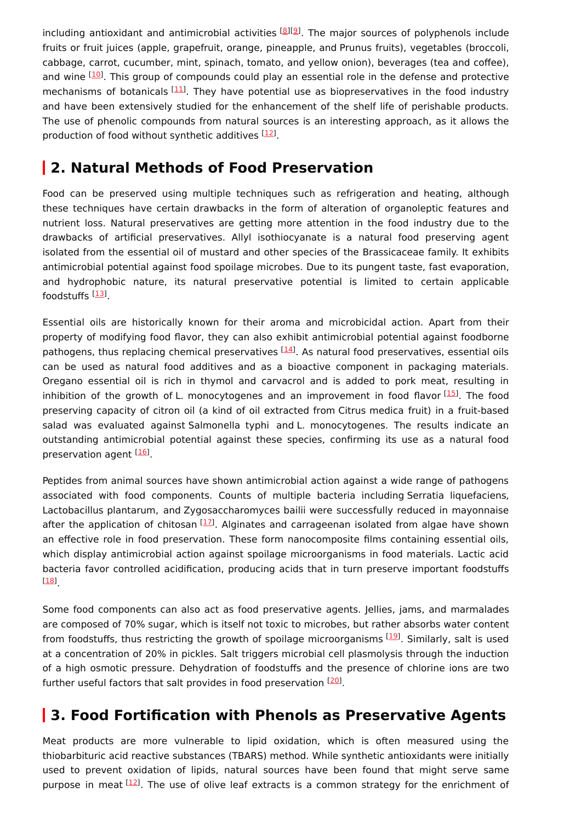including antioxidant and antimicrobial activities [[8](#page-4-7)][\[9](#page-4-8)]. The major sources of polyphenols include fruits or fruit juices (apple, grapefruit, orange, pineapple, and Prunus fruits), vegetables (broccoli, cabbage, carrot, cucumber, mint, spinach, tomato, and yellow onion), beverages (tea and coffee), and wine  $^{[10]}$  $^{[10]}$  $^{[10]}$ . This group of compounds could play an essential role in the defense and protective mechanisms of botanicals [\[11\]](#page-4-10). They have potential use as biopreservatives in the food industry and have been extensively studied for the enhancement of the shelf life of perishable products. The use of phenolic compounds from natural sources is an interesting approach, as it allows the production of food without synthetic additives [[12\]](#page-4-11).

## **2. Natural Methods of Food Preservation**

Food can be preserved using multiple techniques such as refrigeration and heating, although these techniques have certain drawbacks in the form of alteration of organoleptic features and nutrient loss. Natural preservatives are getting more attention in the food industry due to the drawbacks of artificial preservatives. Allyl isothiocyanate is a natural food preserving agent isolated from the essential oil of mustard and other species of the Brassicaceae family. It exhibits antimicrobial potential against food spoilage microbes. Due to its pungent taste, fast evaporation, and hydrophobic nature, its natural preservative potential is limited to certain applicable foodstuffs <sup>[<u>[13](#page-4-12)</u>]</sup>.

Essential oils are historically known for their aroma and microbicidal action. Apart from their property of modifying food flavor, they can also exhibit antimicrobial potential against foodborne pathogens, thus replacing chemical preservatives <sup>[\[14](#page-4-13)]</sup>. As natural food preservatives, essential oils can be used as natural food additives and as a bioactive component in packaging materials. Oregano essential oil is rich in thymol and carvacrol and is added to pork meat, resulting in inhibition of the growth of L. monocytogenes and an improvement in food flavor [[15](#page-5-0)]. The food preserving capacity of citron oil (a kind of oil extracted from Citrus medica fruit) in a fruit-based salad was evaluated against Salmonella typhi and L. monocytogenes. The results indicate an outstanding antimicrobial potential against these species, confirming its use as a natural food preservation agent [\[16](#page-5-1)].

Peptides from animal sources have shown antimicrobial action against a wide range of pathogens associated with food components. Counts of multiple bacteria including Serratia liquefaciens, Lactobacillus plantarum, and Zygosaccharomyces bailii were successfully reduced in mayonnaise after the application of chitosan [[17\]](#page-5-2). Alginates and carrageenan isolated from algae have shown an effective role in food preservation. These form nanocomposite films containing essential oils, which display antimicrobial action against spoilage microorganisms in food materials. Lactic acid bacteria favor controlled acidification, producing acids that in turn preserve important foodstuffs . [\[18\]](#page-5-3)

Some food components can also act as food preservative agents. Jellies, jams, and marmalades are composed of 70% sugar, which is itself not toxic to microbes, but rather absorbs water content from foodstuffs, thus restricting the growth of spoilage microorganisms [[19](#page-5-4)]. Similarly, salt is used at a concentration of 20% in pickles. Salt triggers microbial cell plasmolysis through the induction of a high osmotic pressure. Dehydration of foodstuffs and the presence of chlorine ions are two further useful factors that salt provides in food preservation [[20](#page-5-5)].

# **3. Food Fortification with Phenols as Preservative Agents**

Meat products are more vulnerable to lipid oxidation, which is often measured using the thiobarbituric acid reactive substances (TBARS) method. While synthetic antioxidants were initially used to prevent oxidation of lipids, natural sources have been found that might serve same purpose in meat  $[12]$  $[12]$ . The use of olive leaf extracts is a common strategy for the enrichment of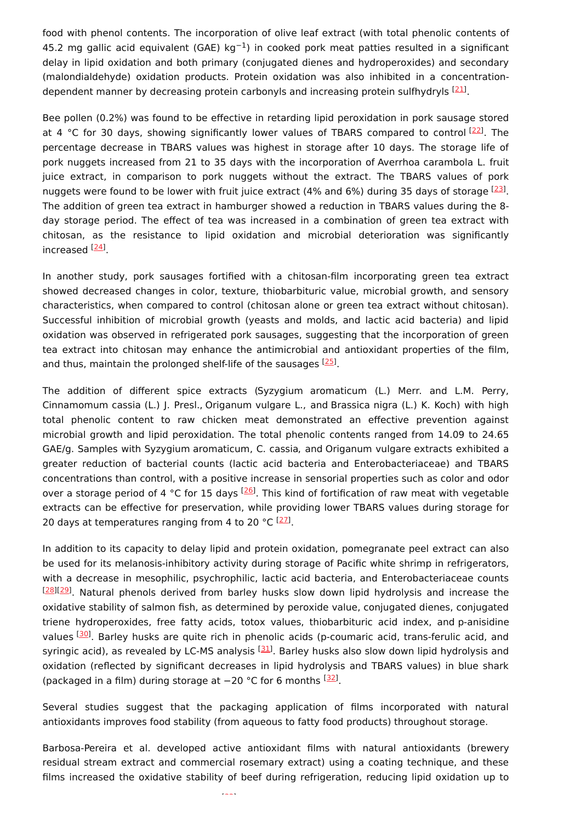food with phenol contents. The incorporation of olive leaf extract (with total phenolic contents of 45.2 mg gallic acid equivalent (GAE) kg<sup>-1</sup>) in cooked pork meat patties resulted in a significant delay in lipid oxidation and both primary (conjugated dienes and hydroperoxides) and secondary (malondialdehyde) oxidation products. Protein oxidation was also inhibited in a concentration-dependent manner by decreasing protein carbonyls and increasing protein sulfhydryls <sup>[[21](#page-5-6)]</sup>.

Bee pollen (0.2%) was found to be effective in retarding lipid peroxidation in pork sausage stored at 4 °C for 30 days, showing significantly lower values of TBARS compared to control [\[22](#page-5-7)]. The percentage decrease in TBARS values was highest in storage after 10 days. The storage life of pork nuggets increased from 21 to 35 days with the incorporation of Averrhoa carambola L. fruit juice extract, in comparison to pork nuggets without the extract. The TBARS values of pork nuggets were found to be lower with fruit juice extract (4% and 6%) during 35 days of storage [\[23](#page-5-8)]. The addition of green tea extract in hamburger showed a reduction in TBARS values during the 8 day storage period. The effect of tea was increased in a combination of green tea extract with chitosan, as the resistance to lipid oxidation and microbial deterioration was significantly increased <sup>[<u>24</u>]</sup>.

In another study, pork sausages fortified with a chitosan-film incorporating green tea extract showed decreased changes in color, texture, thiobarbituric value, microbial growth, and sensory characteristics, when compared to control (chitosan alone or green tea extract without chitosan). Successful inhibition of microbial growth (yeasts and molds, and lactic acid bacteria) and lipid oxidation was observed in refrigerated pork sausages, suggesting that the incorporation of green tea extract into chitosan may enhance the antimicrobial and antioxidant properties of the film, and thus, maintain the prolonged shelf-life of the sausages [\[25](#page-5-10)].

The addition of different spice extracts (Syzygium aromaticum (L.) Merr. and L.M. Perry, Cinnamomum cassia (L.) J. Presl., Origanum vulgare L., and Brassica nigra (L.) K. Koch) with high total phenolic content to raw chicken meat demonstrated an effective prevention against microbial growth and lipid peroxidation. The total phenolic contents ranged from 14.09 to 24.65 GAE/g. Samples with Syzygium aromaticum, C. cassia, and Origanum vulgare extracts exhibited a greater reduction of bacterial counts (lactic acid bacteria and Enterobacteriaceae) and TBARS concentrations than control, with a positive increase in sensorial properties such as color and odor over a storage period of 4 °C for 15 days <sup>[[26\]](#page-5-11)</sup>. This kind of fortification of raw meat with vegetable extracts can be effective for preservation, while providing lower TBARS values during storage for 20 days at temperatures ranging from 4 to 20 °C  $^{[27]}$  $^{[27]}$  $^{[27]}$ .

In addition to its capacity to delay lipid and protein oxidation, pomegranate peel extract can also be used for its melanosis-inhibitory activity during storage of Pacific white shrimp in refrigerators, with a decrease in mesophilic, psychrophilic, lactic acid bacteria, and Enterobacteriaceae counts [\[28\]](#page-5-13)[[29](#page-5-14)]. Natural phenols derived from barley husks slow down lipid hydrolysis and increase the oxidative stability of salmon fish, as determined by peroxide value, conjugated dienes, conjugated triene hydroperoxides, free fatty acids, totox values, thiobarbituric acid index, and p-anisidine values [\[30](#page-5-15)]. Barley husks are quite rich in phenolic acids (p-coumaric acid, trans-ferulic acid, and syringic acid), as revealed by LC-MS analysis  $^{[31]}$  $^{[31]}$  $^{[31]}$ . Barley husks also slow down lipid hydrolysis and oxidation (reflected by significant decreases in lipid hydrolysis and TBARS values) in blue shark (packaged in a film) during storage at -20 °C for 6 months <sup>[\[32\]](#page-6-0)</sup>.

Several studies suggest that the packaging application of films incorporated with natural antioxidants improves food stability (from aqueous to fatty food products) throughout storage.

Barbosa-Pereira et al. developed active antioxidant films with natural antioxidants (brewery residual stream extract and commercial rosemary extract) using a coating technique, and these films increased the oxidative stability of beef during refrigeration, reducing lipid oxidation up to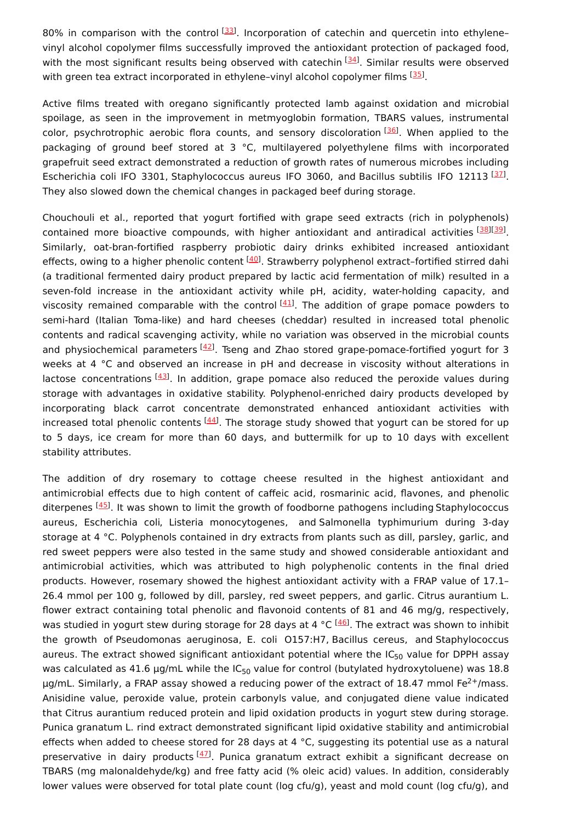80% in comparison with the control  $^{[33]}$  $^{[33]}$  $^{[33]}$ . Incorporation of catechin and quercetin into ethylenevinyl alcohol copolymer films successfully improved the antioxidant protection of packaged food, with the most significant results being observed with catechin [[34](#page-6-2)]. Similar results were observed with green tea extract incorporated in ethylene-vinyl alcohol copolymer films <sup>[\[35](#page-6-3)]</sup>.

Active films treated with oregano significantly protected lamb against oxidation and microbial spoilage, as seen in the improvement in metmyoglobin formation, TBARS values, instrumental color, psychrotrophic aerobic flora counts, and sensory discoloration [\[36](#page-6-4)]. When applied to the packaging of ground beef stored at 3 °C, multilayered polyethylene films with incorporated grapefruit seed extract demonstrated a reduction of growth rates of numerous microbes including Escherichia coli IFO 3301, Staphylococcus aureus IFO 3060, and Bacillus subtilis IFO 12113<sup>[\[37](#page-6-5)]</sup>. They also slowed down the chemical changes in packaged beef during storage.

Chouchouli et al., reported that yogurt fortified with grape seed extracts (rich in polyphenols) contained more bioactive compounds, with higher antioxidant and antiradical activities [\[38](#page-6-6)][\[39](#page-6-7)]. Similarly, oat-bran-fortified raspberry probiotic dairy drinks exhibited increased antioxidant effects, owing to a higher phenolic content <sup>[\[40](#page-6-8)]</sup>. Strawberry polyphenol extract-fortified stirred dahi (a traditional fermented dairy product prepared by lactic acid fermentation of milk) resulted in a seven-fold increase in the antioxidant activity while pH, acidity, water-holding capacity, and viscosity remained comparable with the control [[41](#page-6-9)]. The addition of grape pomace powders to semi-hard (Italian Toma-like) and hard cheeses (cheddar) resulted in increased total phenolic contents and radical scavenging activity, while no variation was observed in the microbial counts and physiochemical parameters [[42\]](#page-6-10). Tseng and Zhao stored grape-pomace-fortified yogurt for 3 weeks at 4 °C and observed an increase in pH and decrease in viscosity without alterations in lactose concentrations  $^{[43]}$  $^{[43]}$  $^{[43]}$ . In addition, grape pomace also reduced the peroxide values during storage with advantages in oxidative stability. Polyphenol-enriched dairy products developed by incorporating black carrot concentrate demonstrated enhanced antioxidant activities with increased total phenolic contents  $^{[44]}$  $^{[44]}$  $^{[44]}$ . The storage study showed that yogurt can be stored for up to 5 days, ice cream for more than 60 days, and buttermilk for up to 10 days with excellent stability attributes.

The addition of dry rosemary to cottage cheese resulted in the highest antioxidant and antimicrobial effects due to high content of caffeic acid, rosmarinic acid, flavones, and phenolic diterpenes <sup>[\[45](#page-6-13)]</sup>. It was shown to limit the growth of foodborne pathogens including Staphylococcus aureus, Escherichia coli, Listeria monocytogenes, and Salmonella typhimurium during 3-day storage at 4 °C. Polyphenols contained in dry extracts from plants such as dill, parsley, garlic, and red sweet peppers were also tested in the same study and showed considerable antioxidant and antimicrobial activities, which was attributed to high polyphenolic contents in the final dried products. However, rosemary showed the highest antioxidant activity with a FRAP value of 17.1– 26.4 mmol per 100 g, followed by dill, parsley, red sweet peppers, and garlic. Citrus aurantium L. flower extract containing total phenolic and flavonoid contents of 81 and 46 mg/g, respectively, was studied in yogurt stew during storage for 28 days at 4 °C <sup>[[46\]](#page-6-14)</sup>. The extract was shown to inhibit the growth of Pseudomonas aeruginosa, E. coli O157:H7, Bacillus cereus, and Staphylococcus aureus. The extract showed significant antioxidant potential where the IC $_{50}$  value for DPPH assay was calculated as 41.6  $\mu$ g/mL while the IC<sub>50</sub> value for control (butylated hydroxytoluene) was 18.8  $\mu$ g/mL. Similarly, a FRAP assay showed a reducing power of the extract of 18.47 mmol Fe<sup>2+</sup>/mass. Anisidine value, peroxide value, protein carbonyls value, and conjugated diene value indicated that Citrus aurantium reduced protein and lipid oxidation products in yogurt stew during storage. Punica granatum L. rind extract demonstrated significant lipid oxidative stability and antimicrobial effects when added to cheese stored for 28 days at 4  $^{\circ}$ C, suggesting its potential use as a natural preservative in dairy products [\[47](#page-6-15)]. Punica granatum extract exhibit a significant decrease on TBARS (mg malonaldehyde/kg) and free fatty acid (% oleic acid) values. In addition, considerably lower values were observed for total plate count (log cfu/g), yeast and mold count (log cfu/g), and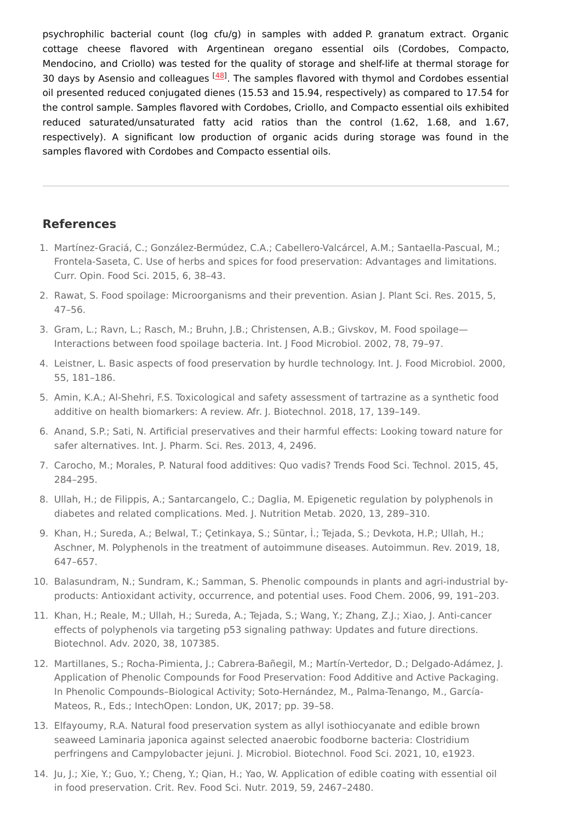psychrophilic bacterial count (log cfu/g) in samples with added P. granatum extract. Organic cottage cheese flavored with Argentinean oregano essential oils (Cordobes, Compacto, Mendocino, and Criollo) was tested for the quality of storage and shelf-life at thermal storage for 30 days by Asensio and colleagues <sup>[\[48\]](#page-6-16)</sup>. The samples flavored with thymol and Cordobes essential oil presented reduced conjugated dienes (15.53 and 15.94, respectively) as compared to 17.54 for the control sample. Samples flavored with Cordobes, Criollo, and Compacto essential oils exhibited reduced saturated/unsaturated fatty acid ratios than the control (1.62, 1.68, and 1.67, respectively). A significant low production of organic acids during storage was found in the samples flavored with Cordobes and Compacto essential oils.

### **References**

- <span id="page-4-0"></span>1. Martínez-Graciá, C.; González-Bermúdez, C.A.; Cabellero-Valcárcel, A.M.; Santaella-Pascual, M.; Frontela-Saseta, C. Use of herbs and spices for food preservation: Advantages and limitations. Curr. Opin. Food Sci. 2015, 6, 38–43.
- <span id="page-4-1"></span>2. Rawat, S. Food spoilage: Microorganisms and their prevention. Asian J. Plant Sci. Res. 2015, 5, 47–56.
- <span id="page-4-2"></span>3. Gram, L.; Ravn, L.; Rasch, M.; Bruhn, J.B.; Christensen, A.B.; Givskov, M. Food spoilage— Interactions between food spoilage bacteria. Int. J Food Microbiol. 2002, 78, 79–97.
- <span id="page-4-3"></span>4. Leistner, L. Basic aspects of food preservation by hurdle technology. Int. J. Food Microbiol. 2000, 55, 181–186.
- <span id="page-4-4"></span>5. Amin, K.A.; Al-Shehri, F.S. Toxicological and safety assessment of tartrazine as a synthetic food additive on health biomarkers: A review. Afr. J. Biotechnol. 2018, 17, 139–149.
- <span id="page-4-5"></span>6. Anand, S.P.; Sati, N. Artificial preservatives and their harmful effects: Looking toward nature for safer alternatives. Int. J. Pharm. Sci. Res. 2013, 4, 2496.
- <span id="page-4-6"></span>7. Carocho, M.; Morales, P. Natural food additives: Quo vadis? Trends Food Sci. Technol. 2015, 45, 284–295.
- <span id="page-4-7"></span>8. Ullah, H.; de Filippis, A.; Santarcangelo, C.; Daglia, M. Epigenetic regulation by polyphenols in diabetes and related complications. Med. J. Nutrition Metab. 2020, 13, 289–310.
- <span id="page-4-8"></span>9. Khan, H.; Sureda, A.; Belwal, T.; Çetinkaya, S.; Süntar, İ.; Tejada, S.; Devkota, H.P.; Ullah, H.; Aschner, M. Polyphenols in the treatment of autoimmune diseases. Autoimmun. Rev. 2019, 18, 647–657.
- <span id="page-4-9"></span>10. Balasundram, N.; Sundram, K.; Samman, S. Phenolic compounds in plants and agri-industrial byproducts: Antioxidant activity, occurrence, and potential uses. Food Chem. 2006, 99, 191–203.
- <span id="page-4-10"></span>11. Khan, H.; Reale, M.; Ullah, H.; Sureda, A.; Tejada, S.; Wang, Y.; Zhang, Z.J.; Xiao, J. Anti-cancer effects of polyphenols via targeting p53 signaling pathway: Updates and future directions. Biotechnol. Adv. 2020, 38, 107385.
- <span id="page-4-11"></span>12. Martillanes, S.; Rocha-Pimienta, J.; Cabrera-Bañegil, M.; Martín-Vertedor, D.; Delgado-Adámez, J. Application of Phenolic Compounds for Food Preservation: Food Additive and Active Packaging. In Phenolic Compounds–Biological Activity; Soto-Hernández, M., Palma-Tenango, M., García-Mateos, R., Eds.; IntechOpen: London, UK, 2017; pp. 39–58.
- <span id="page-4-12"></span>13. Elfayoumy, R.A. Natural food preservation system as allyl isothiocyanate and edible brown seaweed Laminaria japonica against selected anaerobic foodborne bacteria: Clostridium perfringens and Campylobacter jejuni. J. Microbiol. Biotechnol. Food Sci. 2021, 10, e1923.
- <span id="page-4-13"></span>14. Ju, J.; Xie, Y.; Guo, Y.; Cheng, Y.; Qian, H.; Yao, W. Application of edible coating with essential oil in food preservation. Crit. Rev. Food Sci. Nutr. 2019, 59, 2467–2480.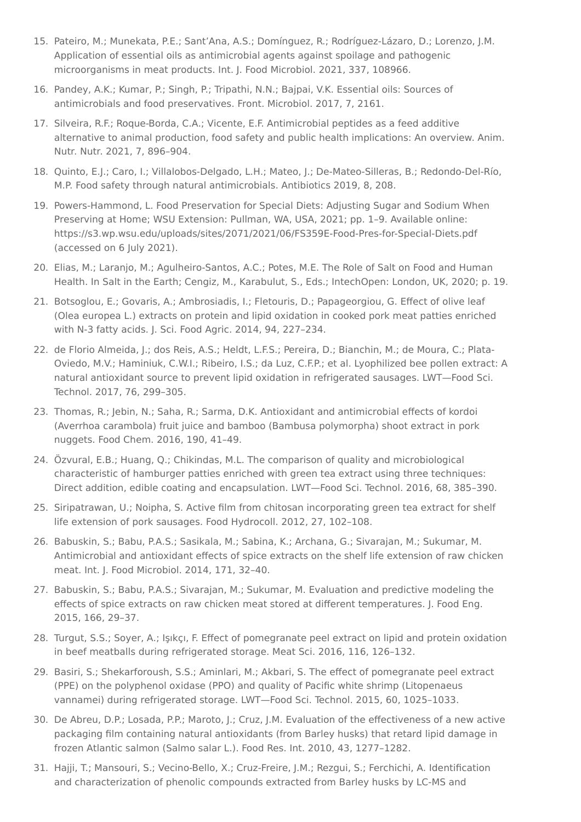- <span id="page-5-0"></span>15. Pateiro, M.; Munekata, P.E.; Sant'Ana, A.S.; Domínguez, R.; Rodríguez-Lázaro, D.; Lorenzo, J.M. Application of essential oils as antimicrobial agents against spoilage and pathogenic microorganisms in meat products. Int. J. Food Microbiol. 2021, 337, 108966.
- <span id="page-5-1"></span>16. Pandey, A.K.; Kumar, P.; Singh, P.; Tripathi, N.N.; Bajpai, V.K. Essential oils: Sources of antimicrobials and food preservatives. Front. Microbiol. 2017, 7, 2161.
- <span id="page-5-2"></span>17. Silveira, R.F.; Roque-Borda, C.A.; Vicente, E.F. Antimicrobial peptides as a feed additive alternative to animal production, food safety and public health implications: An overview. Anim. Nutr. Nutr. 2021, 7, 896–904.
- <span id="page-5-3"></span>18. Quinto, E.J.; Caro, I.; Villalobos-Delgado, L.H.; Mateo, J.; De-Mateo-Silleras, B.; Redondo-Del-Río, M.P. Food safety through natural antimicrobials. Antibiotics 2019, 8, 208.
- <span id="page-5-4"></span>19. Powers-Hammond, L. Food Preservation for Special Diets: Adjusting Sugar and Sodium When Preserving at Home; WSU Extension: Pullman, WA, USA, 2021; pp. 1–9. Available online: https://s3.wp.wsu.edu/uploads/sites/2071/2021/06/FS359E-Food-Pres-for-Special-Diets.pdf (accessed on 6 July 2021).
- <span id="page-5-5"></span>20. Elias, M.; Laranjo, M.; Agulheiro-Santos, A.C.; Potes, M.E. The Role of Salt on Food and Human Health. In Salt in the Earth; Cengiz, M., Karabulut, S., Eds.; IntechOpen: London, UK, 2020; p. 19.
- <span id="page-5-6"></span>21. Botsoglou, E.; Govaris, A.; Ambrosiadis, I.; Fletouris, D.; Papageorgiou, G. Effect of olive leaf (Olea europea L.) extracts on protein and lipid oxidation in cooked pork meat patties enriched with N-3 fatty acids. J. Sci. Food Agric. 2014, 94, 227–234.
- <span id="page-5-7"></span>22. de Florio Almeida, J.; dos Reis, A.S.; Heldt, L.F.S.; Pereira, D.; Bianchin, M.; de Moura, C.; Plata-Oviedo, M.V.; Haminiuk, C.W.I.; Ribeiro, I.S.; da Luz, C.F.P.; et al. Lyophilized bee pollen extract: A natural antioxidant source to prevent lipid oxidation in refrigerated sausages. LWT—Food Sci. Technol. 2017, 76, 299–305.
- <span id="page-5-8"></span>23. Thomas, R.; Jebin, N.; Saha, R.; Sarma, D.K. Antioxidant and antimicrobial effects of kordoi (Averrhoa carambola) fruit juice and bamboo (Bambusa polymorpha) shoot extract in pork nuggets. Food Chem. 2016, 190, 41–49.
- <span id="page-5-9"></span>24. Özvural, E.B.; Huang, Q.; Chikindas, M.L. The comparison of quality and microbiological characteristic of hamburger patties enriched with green tea extract using three techniques: Direct addition, edible coating and encapsulation. LWT—Food Sci. Technol. 2016, 68, 385–390.
- <span id="page-5-10"></span>25. Siripatrawan, U.; Noipha, S. Active film from chitosan incorporating green tea extract for shelf life extension of pork sausages. Food Hydrocoll. 2012, 27, 102–108.
- <span id="page-5-11"></span>26. Babuskin, S.; Babu, P.A.S.; Sasikala, M.; Sabina, K.; Archana, G.; Sivarajan, M.; Sukumar, M. Antimicrobial and antioxidant effects of spice extracts on the shelf life extension of raw chicken meat. Int. J. Food Microbiol. 2014, 171, 32–40.
- <span id="page-5-12"></span>27. Babuskin, S.; Babu, P.A.S.; Sivarajan, M.; Sukumar, M. Evaluation and predictive modeling the effects of spice extracts on raw chicken meat stored at different temperatures. J. Food Eng. 2015, 166, 29–37.
- <span id="page-5-13"></span>28. Turgut, S.S.; Soyer, A.; Işıkçı, F. Effect of pomegranate peel extract on lipid and protein oxidation in beef meatballs during refrigerated storage. Meat Sci. 2016, 116, 126–132.
- <span id="page-5-14"></span>29. Basiri, S.; Shekarforoush, S.S.; Aminlari, M.; Akbari, S. The effect of pomegranate peel extract (PPE) on the polyphenol oxidase (PPO) and quality of Pacific white shrimp (Litopenaeus vannamei) during refrigerated storage. LWT—Food Sci. Technol. 2015, 60, 1025–1033.
- <span id="page-5-15"></span>30. De Abreu, D.P.; Losada, P.P.; Maroto, J.; Cruz, J.M. Evaluation of the effectiveness of a new active packaging film containing natural antioxidants (from Barley husks) that retard lipid damage in frozen Atlantic salmon (Salmo salar L.). Food Res. Int. 2010, 43, 1277–1282.
- <span id="page-5-16"></span>31. Hajji, T.; Mansouri, S.; Vecino-Bello, X.; Cruz-Freire, J.M.; Rezgui, S.; Ferchichi, A. Identification and characterization of phenolic compounds extracted from Barley husks by LC-MS and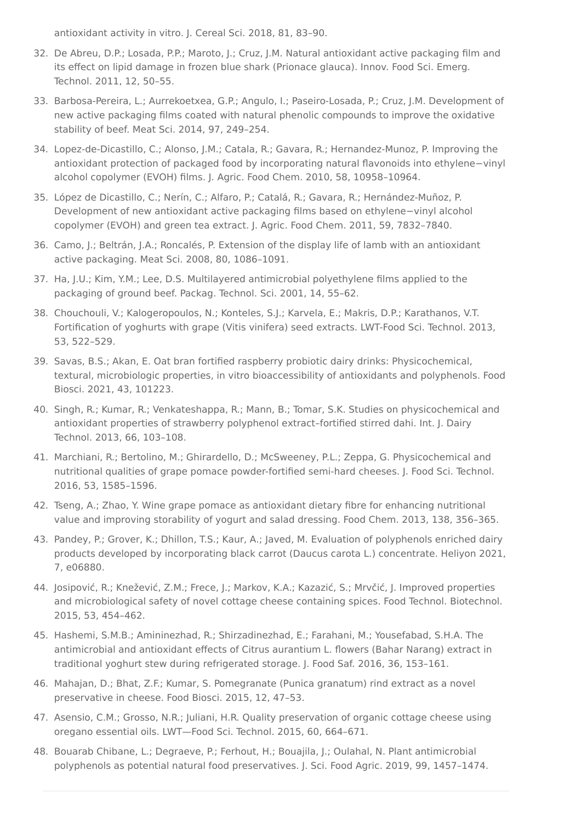<span id="page-6-0"></span>antioxidant activity in vitro. J. Cereal Sci. 2018, 81, 83–90.

- 32. De Abreu, D.P.; Losada, P.P.; Maroto, J.; Cruz, J.M. Natural antioxidant active packaging film and its effect on lipid damage in frozen blue shark (Prionace glauca). Innov. Food Sci. Emerg. Technol. 2011, 12, 50–55.
- <span id="page-6-1"></span>33. Barbosa-Pereira, L.; Aurrekoetxea, G.P.; Angulo, I.; Paseiro-Losada, P.; Cruz, J.M. Development of new active packaging films coated with natural phenolic compounds to improve the oxidative stability of beef. Meat Sci. 2014, 97, 249–254.
- <span id="page-6-2"></span>34. Lopez-de-Dicastillo, C.; Alonso, J.M.; Catala, R.; Gavara, R.; Hernandez-Munoz, P. Improving the antioxidant protection of packaged food by incorporating natural flavonoids into ethylene−vinyl alcohol copolymer (EVOH) films. J. Agric. Food Chem. 2010, 58, 10958–10964.
- <span id="page-6-3"></span>35. López de Dicastillo, C.; Nerín, C.; Alfaro, P.; Catalá, R.; Gavara, R.; Hernández-Muñoz, P. Development of new antioxidant active packaging films based on ethylene−vinyl alcohol copolymer (EVOH) and green tea extract. J. Agric. Food Chem. 2011, 59, 7832–7840.
- <span id="page-6-4"></span>36. Camo, J.; Beltrán, J.A.; Roncalés, P. Extension of the display life of lamb with an antioxidant active packaging. Meat Sci. 2008, 80, 1086–1091.
- <span id="page-6-5"></span>37. Ha, J.U.; Kim, Y.M.; Lee, D.S. Multilayered antimicrobial polyethylene films applied to the packaging of ground beef. Packag. Technol. Sci. 2001, 14, 55–62.
- <span id="page-6-6"></span>38. Chouchouli, V.; Kalogeropoulos, N.; Konteles, S.J.; Karvela, E.; Makris, D.P.; Karathanos, V.T. Fortification of yoghurts with grape (Vitis vinifera) seed extracts. LWT-Food Sci. Technol. 2013, 53, 522–529.
- <span id="page-6-7"></span>39. Savas, B.S.; Akan, E. Oat bran fortified raspberry probiotic dairy drinks: Physicochemical, textural, microbiologic properties, in vitro bioaccessibility of antioxidants and polyphenols. Food Biosci. 2021, 43, 101223.
- <span id="page-6-8"></span>40. Singh, R.; Kumar, R.; Venkateshappa, R.; Mann, B.; Tomar, S.K. Studies on physicochemical and antioxidant properties of strawberry polyphenol extract–fortified stirred dahi. Int. J. Dairy Technol. 2013, 66, 103–108.
- <span id="page-6-9"></span>41. Marchiani, R.; Bertolino, M.; Ghirardello, D.; McSweeney, P.L.; Zeppa, G. Physicochemical and nutritional qualities of grape pomace powder-fortified semi-hard cheeses. J. Food Sci. Technol. 2016, 53, 1585–1596.
- <span id="page-6-10"></span>42. Tseng, A.; Zhao, Y. Wine grape pomace as antioxidant dietary fibre for enhancing nutritional value and improving storability of yogurt and salad dressing. Food Chem. 2013, 138, 356–365.
- <span id="page-6-11"></span>43. Pandey, P.; Grover, K.; Dhillon, T.S.; Kaur, A.; Javed, M. Evaluation of polyphenols enriched dairy products developed by incorporating black carrot (Daucus carota L.) concentrate. Heliyon 2021, 7, e06880.
- <span id="page-6-12"></span>44. Josipović, R.; Knežević, Z.M.; Frece, J.; Markov, K.A.; Kazazić, S.; Mrvčić, J. Improved properties and microbiological safety of novel cottage cheese containing spices. Food Technol. Biotechnol. 2015, 53, 454–462.
- <span id="page-6-13"></span>45. Hashemi, S.M.B.; Amininezhad, R.; Shirzadinezhad, E.; Farahani, M.; Yousefabad, S.H.A. The antimicrobial and antioxidant effects of Citrus aurantium L. flowers (Bahar Narang) extract in traditional yoghurt stew during refrigerated storage. J. Food Saf. 2016, 36, 153–161.
- <span id="page-6-14"></span>46. Mahajan, D.; Bhat, Z.F.; Kumar, S. Pomegranate (Punica granatum) rind extract as a novel preservative in cheese. Food Biosci. 2015, 12, 47–53.
- <span id="page-6-15"></span>47. Asensio, C.M.; Grosso, N.R.; Juliani, H.R. Quality preservation of organic cottage cheese using oregano essential oils. LWT—Food Sci. Technol. 2015, 60, 664–671.
- <span id="page-6-16"></span>48. Bouarab Chibane, L.; Degraeve, P.; Ferhout, H.; Bouajila, J.; Oulahal, N. Plant antimicrobial polyphenols as potential natural food preservatives. J. Sci. Food Agric. 2019, 99, 1457–1474.